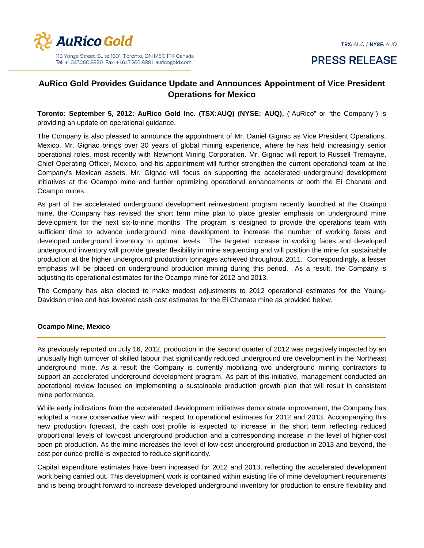

# **PRESS RELEASE**

## **AuRico Gold Provides Guidance Update and Announces Appointment of Vice President Operations for Mexico**

**Toronto: September 5, 2012: AuRico Gold Inc. (TSX:AUQ) (NYSE: AUQ),** ("AuRico" or "the Company") is providing an update on operational guidance.

The Company is also pleased to announce the appointment of Mr. Daniel Gignac as Vice President Operations, Mexico. Mr. Gignac brings over 30 years of global mining experience, where he has held increasingly senior operational roles, most recently with Newmont Mining Corporation. Mr. Gignac will report to Russell Tremayne, Chief Operating Officer, Mexico, and his appointment will further strengthen the current operational team at the Company's Mexican assets. Mr. Gignac will focus on supporting the accelerated underground development initiatives at the Ocampo mine and further optimizing operational enhancements at both the El Chanate and Ocampo mines.

As part of the accelerated underground development reinvestment program recently launched at the Ocampo mine, the Company has revised the short term mine plan to place greater emphasis on underground mine development for the next six-to-nine months. The program is designed to provide the operations team with sufficient time to advance underground mine development to increase the number of working faces and developed underground inventory to optimal levels. The targeted increase in working faces and developed underground inventory will provide greater flexibility in mine sequencing and will position the mine for sustainable production at the higher underground production tonnages achieved throughout 2011. Correspondingly, a lesser emphasis will be placed on underground production mining during this period. As a result, the Company is adjusting its operational estimates for the Ocampo mine for 2012 and 2013.

The Company has also elected to make modest adjustments to 2012 operational estimates for the Young-Davidson mine and has lowered cash cost estimates for the El Chanate mine as provided below.

#### **Ocampo Mine, Mexico**

As previously reported on July 16, 2012, production in the second quarter of 2012 was negatively impacted by an unusually high turnover of skilled labour that significantly reduced underground ore development in the Northeast underground mine. As a result the Company is currently mobilizing two underground mining contractors to support an accelerated underground development program. As part of this initiative, management conducted an operational review focused on implementing a sustainable production growth plan that will result in consistent mine performance.

While early indications from the accelerated development initiatives demonstrate improvement, the Company has adopted a more conservative view with respect to operational estimates for 2012 and 2013. Accompanying this new production forecast, the cash cost profile is expected to increase in the short term reflecting reduced proportional levels of low-cost underground production and a corresponding increase in the level of higher-cost open pit production. As the mine increases the level of low-cost underground production in 2013 and beyond, the cost per ounce profile is expected to reduce significantly.

Capital expenditure estimates have been increased for 2012 and 2013, reflecting the accelerated development work being carried out. This development work is contained within existing life of mine development requirements and is being brought forward to increase developed underground inventory for production to ensure flexibility and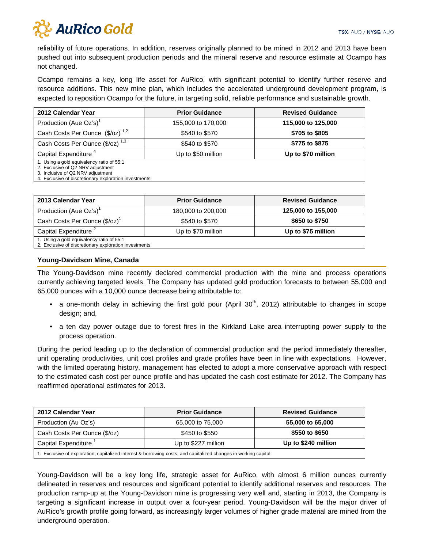

reliability of future operations. In addition, reserves originally planned to be mined in 2012 and 2013 have been pushed out into subsequent production periods and the mineral reserve and resource estimate at Ocampo has not changed.

Ocampo remains a key, long life asset for AuRico, with significant potential to identify further reserve and resource additions. This new mine plan, which includes the accelerated underground development program, is expected to reposition Ocampo for the future, in targeting solid, reliable performance and sustainable growth.

| 2012 Calendar Year                                                                                                                                                           | <b>Prior Guidance</b> | <b>Revised Guidance</b> |
|------------------------------------------------------------------------------------------------------------------------------------------------------------------------------|-----------------------|-------------------------|
| Production (Aue Oz's) <sup>1</sup>                                                                                                                                           | 155,000 to 170,000    | 115,000 to 125,000      |
| Cash Costs Per Ounce (\$/oz) <sup>1,2</sup>                                                                                                                                  | \$540 to \$570        | \$705 to \$805          |
| Cash Costs Per Ounce (\$/oz) <sup>1,3</sup>                                                                                                                                  | \$540 to \$570        | \$775 to \$875          |
| Capital Expenditure <sup>4</sup>                                                                                                                                             | Up to \$50 million    | Up to \$70 million      |
| 1. Using a gold equivalency ratio of 55:1<br>2. Exclusive of Q2 NRV adjustment<br>3. Inclusive of Q2 NRV adjustment<br>4. Exclusive of discretionary exploration investments |                       |                         |

| 2013 Calendar Year                        | <b>Prior Guidance</b> | <b>Revised Guidance</b> |
|-------------------------------------------|-----------------------|-------------------------|
| Production (Aue Oz's) <sup>1</sup>        | 180,000 to 200,000    | 125,000 to 155,000      |
| Cash Costs Per Ounce (\$/oz) <sup>1</sup> | \$540 to \$570        | \$650 to \$750          |
| Capital Expenditure <sup>2</sup>          | Up to \$70 million    | Up to \$75 million      |
| 1. Using a gold equivalency ratio of 55:1 |                       |                         |

2. Exclusive of discretionary exploration investments

#### **Young-Davidson Mine, Canada**

The Young-Davidson mine recently declared commercial production with the mine and process operations currently achieving targeted levels. The Company has updated gold production forecasts to between 55,000 and 65,000 ounces with a 10,000 ounce decrease being attributable to:

- a one-month delay in achieving the first gold pour (April 30<sup>th</sup>, 2012) attributable to changes in scope design; and,
- a ten day power outage due to forest fires in the Kirkland Lake area interrupting power supply to the process operation.

During the period leading up to the declaration of commercial production and the period immediately thereafter, unit operating productivities, unit cost profiles and grade profiles have been in line with expectations. However, with the limited operating history, management has elected to adopt a more conservative approach with respect to the estimated cash cost per ounce profile and has updated the cash cost estimate for 2012. The Company has reaffirmed operational estimates for 2013.

| 2012 Calendar Year                                                                                              | <b>Prior Guidance</b> | <b>Revised Guidance</b> |
|-----------------------------------------------------------------------------------------------------------------|-----------------------|-------------------------|
| Production (Au Oz's)                                                                                            | 65,000 to 75,000      | 55,000 to 65,000        |
| Cash Costs Per Ounce (\$/oz)                                                                                    | \$450 to \$550        | \$550 to \$650          |
| Capital Expenditure <sup>1</sup>                                                                                | Up to \$227 million   | Up to \$240 million     |
| I. Exclusive of exploration, capitalized interest & borrowing costs, and capitalized changes in working capital |                       |                         |

Young-Davidson will be a key long life, strategic asset for AuRico, with almost 6 million ounces currently delineated in reserves and resources and significant potential to identify additional reserves and resources. The production ramp-up at the Young-Davidson mine is progressing very well and, starting in 2013, the Company is targeting a significant increase in output over a four-year period. Young-Davidson will be the major driver of AuRico's growth profile going forward, as increasingly larger volumes of higher grade material are mined from the underground operation.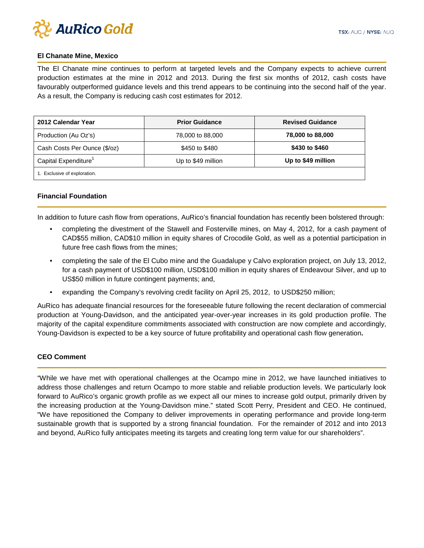

#### **El Chanate Mine, Mexico**

The El Chanate mine continues to perform at targeted levels and the Company expects to achieve current production estimates at the mine in 2012 and 2013. During the first six months of 2012, cash costs have favourably outperformed guidance levels and this trend appears to be continuing into the second half of the year. As a result, the Company is reducing cash cost estimates for 2012.

| 2012 Calendar Year               | <b>Prior Guidance</b> | <b>Revised Guidance</b> |
|----------------------------------|-----------------------|-------------------------|
| Production (Au Oz's)             | 78,000 to 88,000      | 78,000 to 88,000        |
| Cash Costs Per Ounce (\$/oz)     | \$450 to \$480        | \$430 to \$460          |
| Capital Expenditure <sup>1</sup> | Up to \$49 million    | Up to \$49 million      |
| 1. Exclusive of exploration.     |                       |                         |

#### **Financial Foundation**

In addition to future cash flow from operations, AuRico's financial foundation has recently been bolstered through:

- completing the divestment of the Stawell and Fosterville mines, on May 4, 2012, for a cash payment of CAD\$55 million, CAD\$10 million in equity shares of Crocodile Gold, as well as a potential participation in future free cash flows from the mines;
- completing the sale of the El Cubo mine and the Guadalupe y Calvo exploration project, on July 13, 2012, for a cash payment of USD\$100 million, USD\$100 million in equity shares of Endeavour Silver, and up to US\$50 million in future contingent payments; and,
- expanding the Company's revolving credit facility on April 25, 2012, to USD\$250 million;

AuRico has adequate financial resources for the foreseeable future following the recent declaration of commercial production at Young-Davidson, and the anticipated year-over-year increases in its gold production profile. The majority of the capital expenditure commitments associated with construction are now complete and accordingly, Young-Davidson is expected to be a key source of future profitability and operational cash flow generation**.**

#### **CEO Comment**

"While we have met with operational challenges at the Ocampo mine in 2012, we have launched initiatives to address those challenges and return Ocampo to more stable and reliable production levels. We particularly look forward to AuRico's organic growth profile as we expect all our mines to increase gold output, primarily driven by the increasing production at the Young-Davidson mine." stated Scott Perry, President and CEO. He continued, "We have repositioned the Company to deliver improvements in operating performance and provide long-term sustainable growth that is supported by a strong financial foundation. For the remainder of 2012 and into 2013 and beyond, AuRico fully anticipates meeting its targets and creating long term value for our shareholders".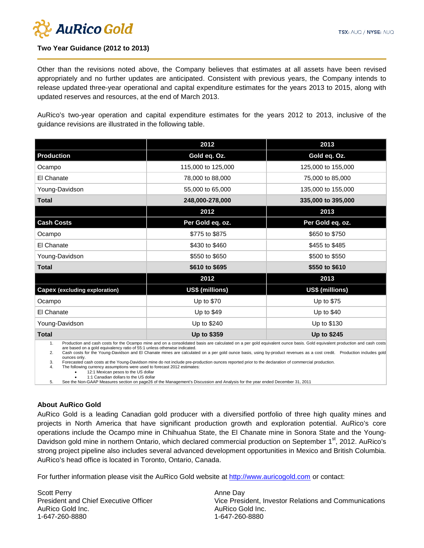

### **Two Year Guidance (2012 to 2013)**

Other than the revisions noted above, the Company believes that estimates at all assets have been revised appropriately and no further updates are anticipated. Consistent with previous years, the Company intends to release updated three-year operational and capital expenditure estimates for the years 2013 to 2015, along with updated reserves and resources, at the end of March 2013.

AuRico's two-year operation and capital expenditure estimates for the years 2012 to 2013, inclusive of the guidance revisions are illustrated in the following table.

|                                                                                                                                                                                | 2012               | 2013               |
|--------------------------------------------------------------------------------------------------------------------------------------------------------------------------------|--------------------|--------------------|
| <b>Production</b>                                                                                                                                                              | Gold eq. Oz.       | Gold eq. Oz.       |
| Ocampo                                                                                                                                                                         | 115,000 to 125,000 | 125,000 to 155,000 |
| El Chanate                                                                                                                                                                     | 78,000 to 88,000   | 75,000 to 85,000   |
| Young-Davidson                                                                                                                                                                 | 55,000 to 65,000   | 135,000 to 155,000 |
| <b>Total</b>                                                                                                                                                                   | 248,000-278,000    | 335,000 to 395,000 |
|                                                                                                                                                                                | 2012               | 2013               |
| <b>Cash Costs</b>                                                                                                                                                              | Per Gold eq. oz.   | Per Gold eq. oz.   |
| Ocampo                                                                                                                                                                         | \$775 to \$875     | \$650 to \$750     |
| El Chanate                                                                                                                                                                     | \$430 to \$460     | \$455 to \$485     |
| Young-Davidson                                                                                                                                                                 | \$550 to \$650     | \$500 to \$550     |
| <b>Total</b>                                                                                                                                                                   | \$610 to \$695     | \$550 to \$610     |
|                                                                                                                                                                                | 2012               | 2013               |
| <b>Capex (excluding exploration)</b>                                                                                                                                           | US\$ (millions)    | US\$ (millions)    |
| Ocampo                                                                                                                                                                         | Up to \$70         | Up to \$75         |
| El Chanate                                                                                                                                                                     | Up to $$49$        | Up to \$40         |
| Young-Davidson                                                                                                                                                                 | Up to \$240        | Up to \$130        |
| <b>Total</b>                                                                                                                                                                   | Up to \$359        | Up to \$245        |
| Production and cash costs for the Ocampo mine and on a consolidated basis are calculated on a per gold equivalent ounce basis. Gold equivalent production and cash costs<br>1. |                    |                    |

are based on a gold equivalency ratio of 55:1 unless otherwise indicated.

2. Cash costs for the Young-Davidson and El Chanate mines are calculated on a per gold ounce basis, using by-product revenues as a cost credit. Production includes gold ounces only.

3. Forecasted cash costs at the Young-Davidson mine do not include pre-production ounces reported prior to the declaration of commercial production.<br>4. The following currency assumptions were used to forecast 2012 estimate

The following currency assumptions were used to forecast 2012 estimates:<br>• 12:1 Mexican pesos to the US dollar

• 12:1 Mexican pesos to the US dollar • 1:1 Canadian dollars to the US dollar

5. See the Non-GAAP Measures section on page26 of the Management's Discussion and Analysis for the year ended December 31, 2011

#### **About AuRico Gold**

AuRico Gold is a leading Canadian gold producer with a diversified portfolio of three high quality mines and projects in North America that have significant production growth and exploration potential. AuRico's core operations include the Ocampo mine in Chihuahua State, the El Chanate mine in Sonora State and the Young-Davidson gold mine in northern Ontario, which declared commercial production on September 1<sup>st</sup>, 2012. AuRico's strong project pipeline also includes several advanced development opportunities in Mexico and British Columbia. AuRico's head office is located in Toronto, Ontario, Canada.

For further information please visit the AuRico Gold website at [http://www.auricogold.com](http://www.auricogold.com/) or contact:

Scott Perry President and Chief Executive Officer AuRico Gold Inc. 1-647-260-8880

Anne Day Vice President, Investor Relations and Communications AuRico Gold Inc. 1-647-260-8880